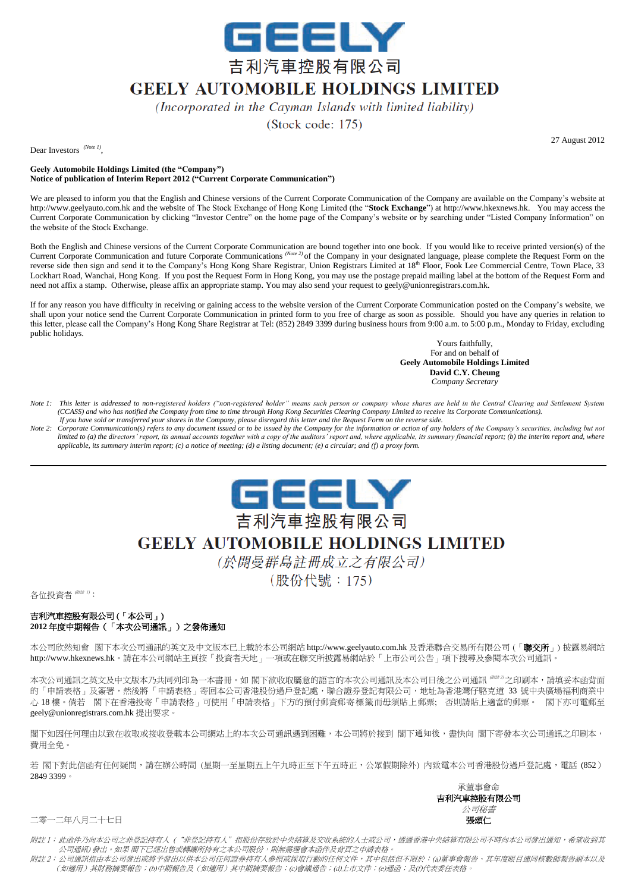

## **GEELY AUTOMOBILE HOLDINGS LIMITED**

(Incorporated in the Cayman Islands with limited liability)

(Stock code: 175)

Dear Investors <sup>(Note 1)</sup>,

27 August 2012

**Geely Automobile Holdings Limited (the "Company") Notice of publication of Interim Report 2012 ("Current Corporate Communication")**

We are pleased to inform you that the English and Chinese versions of the Current Corporate Communication of the Company are available on the Company's website at http://www.geelyauto.com.hk and the website of The Stock Exchange of Hong Kong Limited (the "**Stock Exchange**") at http://www.hkexnews.hk. You may access the Current Corporate Communication by clicking "Investor Centre" on the home page of the Company's website or by searching under "Listed Company Information" on the website of the Stock Exchange.

Both the English and Chinese versions of the Current Corporate Communication are bound together into one book. If you would like to receive printed version(s) of the Current Corporate Communication and future Corporate Communications *(Note 2)* of the Company in your designated language, please complete the Request Form on the reverse side then sign and send it to the Company's Hong Kong Share Registrar, Union Registrars Limited at 18<sup>th</sup> Floor, Fook Lee Commercial Centre, Town Place, 33 Lockhart Road, Wanchai, Hong Kong. If you post the Request Form in Hong Kong, you may use the postage prepaid mailing label at the bottom of the Request Form and need not affix a stamp. Otherwise, please affix an appropriate stamp. You may also send your request to geely@unionregistrars.com.hk.

If for any reason you have difficulty in receiving or gaining access to the website version of the Current Corporate Communication posted on the Company's website, we shall upon your notice send the Current Corporate Communication in printed form to you free of charge as soon as possible. Should you have any queries in relation to this letter, please call the Company's Hong Kong Share Registrar at Tel: (852) 2849 3399 during business hours from 9:00 a.m. to 5:00 p.m., Monday to Friday, excluding public holidays.

> Yours faithfully, For and on behalf of **Geely Automobile Holdings Limited David C.Y. Cheung** *Company Secretary*

- *Note 1: This letter is addressed to non-registered holders ("non-registered holder" means such person or company whose shares are held in the Central Clearing and Settlement System (CCASS) and who has notified the Company from time to time through Hong Kong Securities Clearing Company Limited to receive its Corporate Communications). If you have sold or transferred your shares in the Company, please disregard this letter and the Request Form on the reverse side.*
- *Note 2: Corporate Communication(s) refers to any document issued or to be issued by the Company for the information or action of any holders of the Company's securities, including but not limited to (a) the directors' report, its annual accounts together with a copy of the auditors' report and, where applicable, its summary financial report; (b) the interim report and, where applicable, its summary interim report; (c) a notice of meeting; (d) a listing document; (e) a circular; and (f) a proxy form.*



## **GEELY AUTOMOBILE HOLDINGS LIMITED**

(於開曼群島註冊成立之有限公司)

(股份代號: 175)

各位投資者 (Rit 1):

## 吉利汽車控股有限公司 (「本公司」) **2012** 年度中期報告(「本次公司通訊」)之發佈通知

本公司你然知會 閣下本次公司通訊的英文及中文版本已上載於本公司網站 http://www.geelyauto.com.hk 及香港聯合交易所有限公司 (「聯交所」) 披露易網站 http://www.hkexnews.hk。請在本公司網站主頁按「投資者天地」一項或在聯交所披露易網站於「上市公司公告」項下搜尋及參閱本次公司通訊。

本次公司通訊之英文及中文版本乃共同列印為一本書冊。如 閣下欲收取屬意的語言的本次公司通訊及本公司日後之公司通訊 (附註 2) 之印刷本,請填妥本函背面 的「申請表格」及簽署,然後將「申請表格」寄回本公司香港股份過戶登記處,聯合證券登記有限公司,地址為香港灣仔駱克道 33 號中央廣場福利商業中 心 18 樓。倘若 閣下在香港投寄「申請表格」可使用「申請表格」下方的預付郵資郵寄標籤而毋須貼上郵票; 否則請貼上適當的郵票。 閣下亦可電郵至 geely@unionregistrars.com.hk 提出要求。

閣下如因任何理由以致在收取或接收登載本公司網站上的本次公司通訊遇到困難,本公司將於接到 閣下通知後,盡快向 閣下寄發本次公司通訊之印刷本, 費用全免。

若 閣下對此信函有任何疑問,請在辦公時間 (星期一至星期五上午九時正至下午五時正,公眾假期除外) 内致電本公司香港股份過戶登記處,電話 (852) 2849 3399。



二零一二年八月二十七日 **1999年 - 1999年 - 1999年 - 1999年 - 1999年 - 1999年 - 1999年 - 1999年 - 1999年 - 1999年 - 1999年 - 1999年 - 19** 

附註 1: 此函件乃向本公司之非登記持有人 ("非登記持有人"指股份存放於中央結算及交收系統的人士或公司,透過香港中央結算有限公司不時向本公司發出通知,希望收到其 公司通訊) 發出。如果 閣下已經出售或轉讓所持有之本公司股份,則無需理會本函件及背頁之申請表格。

附註 2:公司通訊指由本公司發出或將予發出以供本公司任何證券持有人參照或採取行動的任何文件,其中包括但不限於:(a)董事會報告、其年度賬目連同核數師報告副本以及 (如適用)其財務摘要報告;(b)中期報告及(如適用)其中期摘要報告;(c)會議通告;(d)上市文件;(e)通函;及(f)代表委任表格。